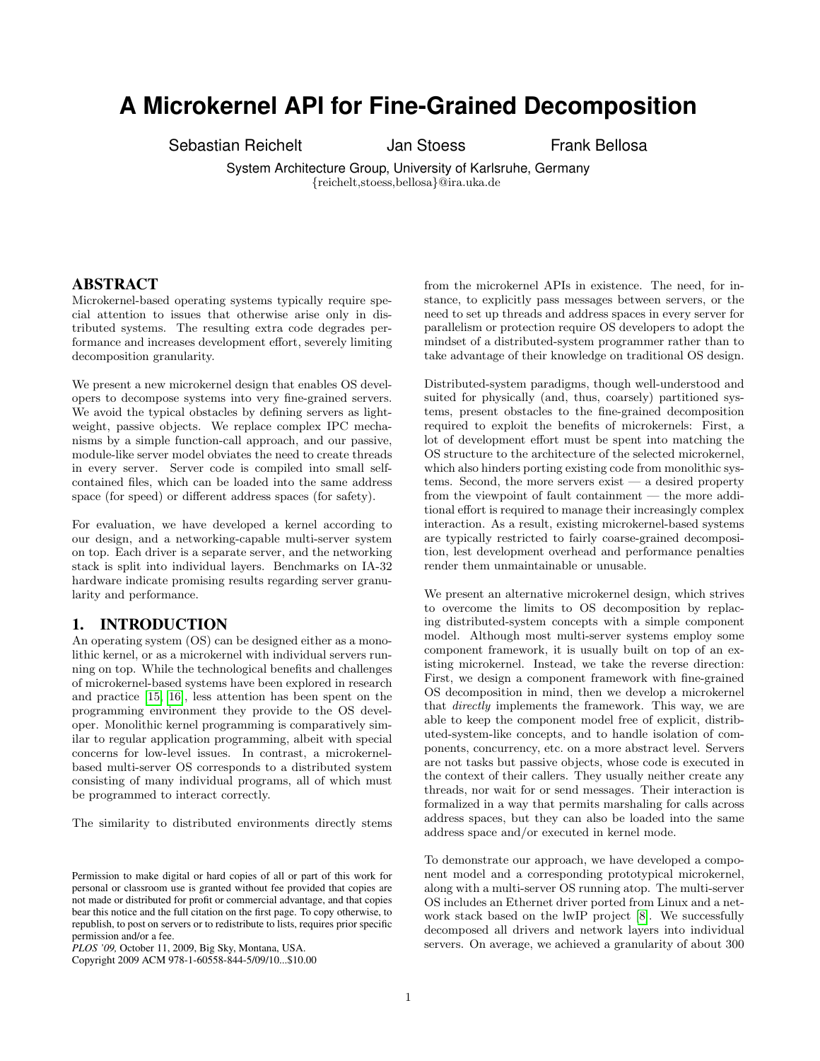# **A Microkernel API for Fine-Grained Decomposition**

Sebastian Reichelt Jan Stoess Frank Bellosa

System Architecture Group, University of Karlsruhe, Germany {reichelt,stoess,bellosa}@ira.uka.de

## ABSTRACT

Microkernel-based operating systems typically require special attention to issues that otherwise arise only in distributed systems. The resulting extra code degrades performance and increases development effort, severely limiting decomposition granularity.

We present a new microkernel design that enables OS developers to decompose systems into very fine-grained servers. We avoid the typical obstacles by defining servers as lightweight, passive objects. We replace complex IPC mechanisms by a simple function-call approach, and our passive, module-like server model obviates the need to create threads in every server. Server code is compiled into small selfcontained files, which can be loaded into the same address space (for speed) or different address spaces (for safety).

For evaluation, we have developed a kernel according to our design, and a networking-capable multi-server system on top. Each driver is a separate server, and the networking stack is split into individual layers. Benchmarks on IA-32 hardware indicate promising results regarding server granularity and performance.

## 1. INTRODUCTION

An operating system (OS) can be designed either as a monolithic kernel, or as a microkernel with individual servers running on top. While the technological benefits and challenges of microkernel-based systems have been explored in research and practice [\[15,](#page-4-0) [16\]](#page-4-1), less attention has been spent on the programming environment they provide to the OS developer. Monolithic kernel programming is comparatively similar to regular application programming, albeit with special concerns for low-level issues. In contrast, a microkernelbased multi-server OS corresponds to a distributed system consisting of many individual programs, all of which must be programmed to interact correctly.

The similarity to distributed environments directly stems

Copyright 2009 ACM 978-1-60558-844-5/09/10...\$10.00

from the microkernel APIs in existence. The need, for instance, to explicitly pass messages between servers, or the need to set up threads and address spaces in every server for parallelism or protection require OS developers to adopt the mindset of a distributed-system programmer rather than to take advantage of their knowledge on traditional OS design.

Distributed-system paradigms, though well-understood and suited for physically (and, thus, coarsely) partitioned systems, present obstacles to the fine-grained decomposition required to exploit the benefits of microkernels: First, a lot of development effort must be spent into matching the OS structure to the architecture of the selected microkernel, which also hinders porting existing code from monolithic systems. Second, the more servers exist  $-$  a desired property from the viewpoint of fault containment — the more additional effort is required to manage their increasingly complex interaction. As a result, existing microkernel-based systems are typically restricted to fairly coarse-grained decomposition, lest development overhead and performance penalties render them unmaintainable or unusable.

We present an alternative microkernel design, which strives to overcome the limits to OS decomposition by replacing distributed-system concepts with a simple component model. Although most multi-server systems employ some component framework, it is usually built on top of an existing microkernel. Instead, we take the reverse direction: First, we design a component framework with fine-grained OS decomposition in mind, then we develop a microkernel that directly implements the framework. This way, we are able to keep the component model free of explicit, distributed-system-like concepts, and to handle isolation of components, concurrency, etc. on a more abstract level. Servers are not tasks but passive objects, whose code is executed in the context of their callers. They usually neither create any threads, nor wait for or send messages. Their interaction is formalized in a way that permits marshaling for calls across address spaces, but they can also be loaded into the same address space and/or executed in kernel mode.

To demonstrate our approach, we have developed a component model and a corresponding prototypical microkernel, along with a multi-server OS running atop. The multi-server OS includes an Ethernet driver ported from Linux and a network stack based on the lwIP project [\[8\]](#page-4-2). We successfully decomposed all drivers and network layers into individual servers. On average, we achieved a granularity of about 300

Permission to make digital or hard copies of all or part of this work for personal or classroom use is granted without fee provided that copies are not made or distributed for profit or commercial advantage, and that copies bear this notice and the full citation on the first page. To copy otherwise, to republish, to post on servers or to redistribute to lists, requires prior specific permission and/or a fee.

*PLOS '09,* October 11, 2009, Big Sky, Montana, USA.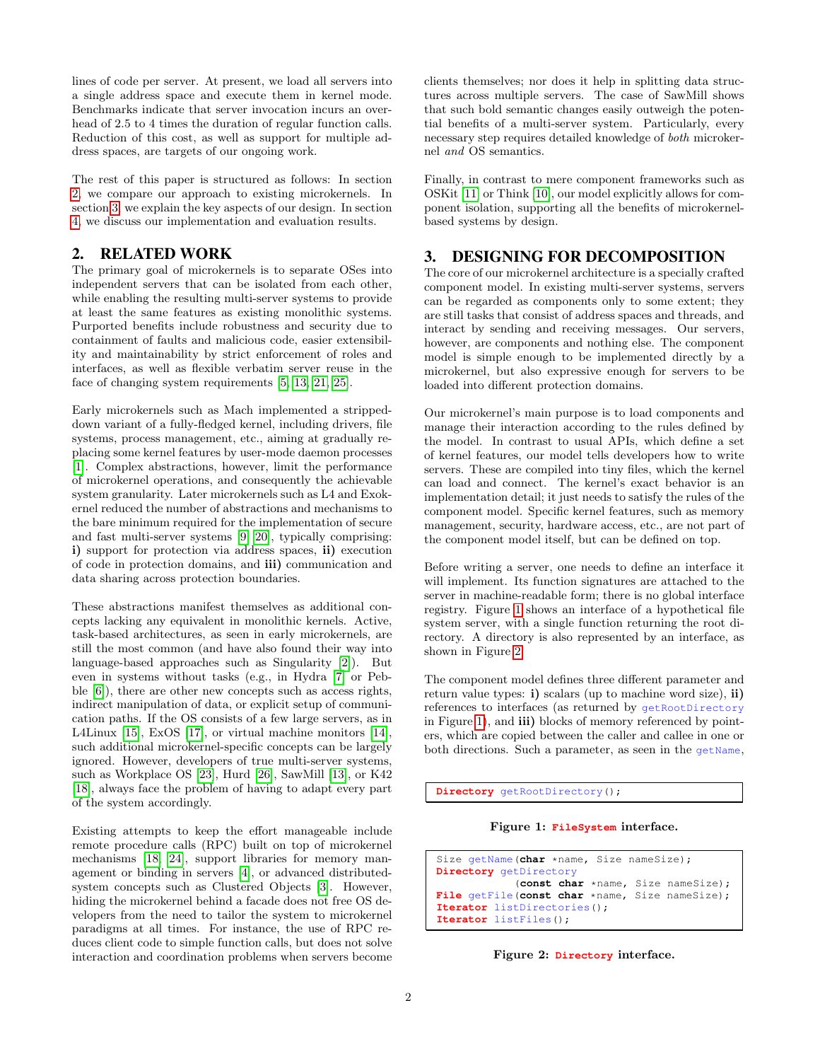lines of code per server. At present, we load all servers into a single address space and execute them in kernel mode. Benchmarks indicate that server invocation incurs an overhead of 2.5 to 4 times the duration of regular function calls. Reduction of this cost, as well as support for multiple address spaces, are targets of our ongoing work.

The rest of this paper is structured as follows: In section [2,](#page-1-0) we compare our approach to existing microkernels. In section [3,](#page-1-1) we explain the key aspects of our design. In section [4,](#page-3-0) we discuss our implementation and evaluation results.

# <span id="page-1-0"></span>2. RELATED WORK

The primary goal of microkernels is to separate OSes into independent servers that can be isolated from each other, while enabling the resulting multi-server systems to provide at least the same features as existing monolithic systems. Purported benefits include robustness and security due to containment of faults and malicious code, easier extensibility and maintainability by strict enforcement of roles and interfaces, as well as flexible verbatim server reuse in the face of changing system requirements [\[5,](#page-4-3) [13,](#page-4-4) [21,](#page-4-5) [25\]](#page-4-6).

Early microkernels such as Mach implemented a strippeddown variant of a fully-fledged kernel, including drivers, file systems, process management, etc., aiming at gradually replacing some kernel features by user-mode daemon processes [\[1\]](#page-4-7). Complex abstractions, however, limit the performance of microkernel operations, and consequently the achievable system granularity. Later microkernels such as L4 and Exokernel reduced the number of abstractions and mechanisms to the bare minimum required for the implementation of secure and fast multi-server systems [\[9,](#page-4-8) [20\]](#page-4-9), typically comprising: i) support for protection via address spaces, ii) execution of code in protection domains, and iii) communication and data sharing across protection boundaries.

These abstractions manifest themselves as additional concepts lacking any equivalent in monolithic kernels. Active, task-based architectures, as seen in early microkernels, are still the most common (and have also found their way into language-based approaches such as Singularity [\[2\]](#page-4-10)). But even in systems without tasks (e.g., in Hydra [\[7\]](#page-4-11) or Pebble [\[6\]](#page-4-12)), there are other new concepts such as access rights, indirect manipulation of data, or explicit setup of communication paths. If the OS consists of a few large servers, as in L4Linux [\[15\]](#page-4-0), ExOS [\[17\]](#page-4-13), or virtual machine monitors [\[14\]](#page-4-14), such additional microkernel-specific concepts can be largely ignored. However, developers of true multi-server systems, such as Workplace OS [\[23\]](#page-4-15), Hurd [\[26\]](#page-4-16), SawMill [\[13\]](#page-4-4), or K42 [\[18\]](#page-4-17), always face the problem of having to adapt every part of the system accordingly.

Existing attempts to keep the effort manageable include remote procedure calls (RPC) built on top of microkernel mechanisms [\[18,](#page-4-17) [24\]](#page-4-18), support libraries for memory management or binding in servers [\[4\]](#page-4-19), or advanced distributedsystem concepts such as Clustered Objects [\[3\]](#page-4-20). However, hiding the microkernel behind a facade does not free OS developers from the need to tailor the system to microkernel paradigms at all times. For instance, the use of RPC reduces client code to simple function calls, but does not solve interaction and coordination problems when servers become

clients themselves; nor does it help in splitting data structures across multiple servers. The case of SawMill shows that such bold semantic changes easily outweigh the potential benefits of a multi-server system. Particularly, every necessary step requires detailed knowledge of both microkernel and OS semantics.

Finally, in contrast to mere component frameworks such as OSKit [\[11\]](#page-4-21) or Think [\[10\]](#page-4-22), our model explicitly allows for component isolation, supporting all the benefits of microkernelbased systems by design.

# <span id="page-1-1"></span>3. DESIGNING FOR DECOMPOSITION

The core of our microkernel architecture is a specially crafted component model. In existing multi-server systems, servers can be regarded as components only to some extent; they are still tasks that consist of address spaces and threads, and interact by sending and receiving messages. Our servers, however, are components and nothing else. The component model is simple enough to be implemented directly by a microkernel, but also expressive enough for servers to be loaded into different protection domains.

Our microkernel's main purpose is to load components and manage their interaction according to the rules defined by the model. In contrast to usual APIs, which define a set of kernel features, our model tells developers how to write servers. These are compiled into tiny files, which the kernel can load and connect. The kernel's exact behavior is an implementation detail; it just needs to satisfy the rules of the component model. Specific kernel features, such as memory management, security, hardware access, etc., are not part of the component model itself, but can be defined on top.

Before writing a server, one needs to define an interface it will implement. Its function signatures are attached to the server in machine-readable form; there is no global interface registry. Figure [1](#page-1-2) shows an interface of a hypothetical file system server, with a single function returning the root directory. A directory is also represented by an interface, as shown in Figure [2.](#page-1-3)

The component model defines three different parameter and return value types: i) scalars (up to machine word size), ii) references to interfaces (as returned by getRootDirectory in Figure [1\)](#page-1-2), and iii) blocks of memory referenced by pointers, which are copied between the caller and callee in one or both directions. Such a parameter, as seen in the getName,

**Directory** getRootDirectory();

<span id="page-1-2"></span>Figure 1: **FileSystem** interface.

Size getName(char \*name, Size nameSize); **Directory** getDirectory (**const char** \*name, Size nameSize); **File** getFile(**const char** \*name, Size nameSize); **Iterator** listDirectories(); **Iterator** listFiles();

<span id="page-1-3"></span>Figure 2: **Directory** interface.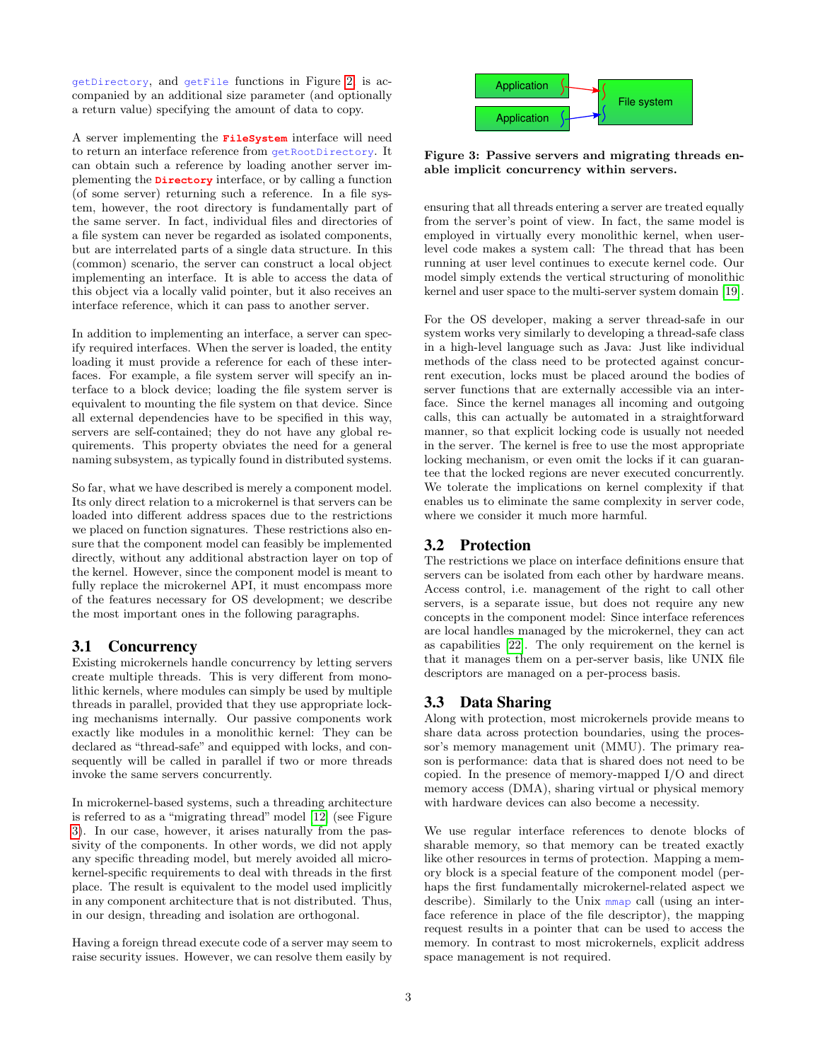getDirectory, and getFile functions in Figure [2,](#page-1-3) is accompanied by an additional size parameter (and optionally a return value) specifying the amount of data to copy.

A server implementing the **FileSystem** interface will need to return an interface reference from getRootDirectory. It can obtain such a reference by loading another server implementing the **Directory** interface, or by calling a function (of some server) returning such a reference. In a file system, however, the root directory is fundamentally part of the same server. In fact, individual files and directories of a file system can never be regarded as isolated components, but are interrelated parts of a single data structure. In this (common) scenario, the server can construct a local object implementing an interface. It is able to access the data of this object via a locally valid pointer, but it also receives an interface reference, which it can pass to another server.

In addition to implementing an interface, a server can specify required interfaces. When the server is loaded, the entity loading it must provide a reference for each of these interfaces. For example, a file system server will specify an interface to a block device; loading the file system server is equivalent to mounting the file system on that device. Since all external dependencies have to be specified in this way, servers are self-contained; they do not have any global requirements. This property obviates the need for a general naming subsystem, as typically found in distributed systems.

So far, what we have described is merely a component model. Its only direct relation to a microkernel is that servers can be loaded into different address spaces due to the restrictions we placed on function signatures. These restrictions also ensure that the component model can feasibly be implemented directly, without any additional abstraction layer on top of the kernel. However, since the component model is meant to fully replace the microkernel API, it must encompass more of the features necessary for OS development; we describe the most important ones in the following paragraphs.

## 3.1 Concurrency

Existing microkernels handle concurrency by letting servers create multiple threads. This is very different from monolithic kernels, where modules can simply be used by multiple threads in parallel, provided that they use appropriate locking mechanisms internally. Our passive components work exactly like modules in a monolithic kernel: They can be declared as "thread-safe" and equipped with locks, and consequently will be called in parallel if two or more threads invoke the same servers concurrently.

In microkernel-based systems, such a threading architecture is referred to as a "migrating thread" model [\[12\]](#page-4-23) (see Figure [3\)](#page-2-0). In our case, however, it arises naturally from the passivity of the components. In other words, we did not apply any specific threading model, but merely avoided all microkernel-specific requirements to deal with threads in the first place. The result is equivalent to the model used implicitly in any component architecture that is not distributed. Thus, in our design, threading and isolation are orthogonal.

Having a foreign thread execute code of a server may seem to raise security issues. However, we can resolve them easily by



<span id="page-2-0"></span>Figure 3: Passive servers and migrating threads enable implicit concurrency within servers.

ensuring that all threads entering a server are treated equally from the server's point of view. In fact, the same model is employed in virtually every monolithic kernel, when userlevel code makes a system call: The thread that has been running at user level continues to execute kernel code. Our model simply extends the vertical structuring of monolithic kernel and user space to the multi-server system domain [\[19\]](#page-4-24).

For the OS developer, making a server thread-safe in our system works very similarly to developing a thread-safe class in a high-level language such as Java: Just like individual methods of the class need to be protected against concurrent execution, locks must be placed around the bodies of server functions that are externally accessible via an interface. Since the kernel manages all incoming and outgoing calls, this can actually be automated in a straightforward manner, so that explicit locking code is usually not needed in the server. The kernel is free to use the most appropriate locking mechanism, or even omit the locks if it can guarantee that the locked regions are never executed concurrently. We tolerate the implications on kernel complexity if that enables us to eliminate the same complexity in server code, where we consider it much more harmful.

# 3.2 Protection

The restrictions we place on interface definitions ensure that servers can be isolated from each other by hardware means. Access control, i.e. management of the right to call other servers, is a separate issue, but does not require any new concepts in the component model: Since interface references are local handles managed by the microkernel, they can act as capabilities [\[22\]](#page-4-25). The only requirement on the kernel is that it manages them on a per-server basis, like UNIX file descriptors are managed on a per-process basis.

## 3.3 Data Sharing

Along with protection, most microkernels provide means to share data across protection boundaries, using the processor's memory management unit (MMU). The primary reason is performance: data that is shared does not need to be copied. In the presence of memory-mapped I/O and direct memory access (DMA), sharing virtual or physical memory with hardware devices can also become a necessity.

We use regular interface references to denote blocks of sharable memory, so that memory can be treated exactly like other resources in terms of protection. Mapping a memory block is a special feature of the component model (perhaps the first fundamentally microkernel-related aspect we describe). Similarly to the Unix mmap call (using an interface reference in place of the file descriptor), the mapping request results in a pointer that can be used to access the memory. In contrast to most microkernels, explicit address space management is not required.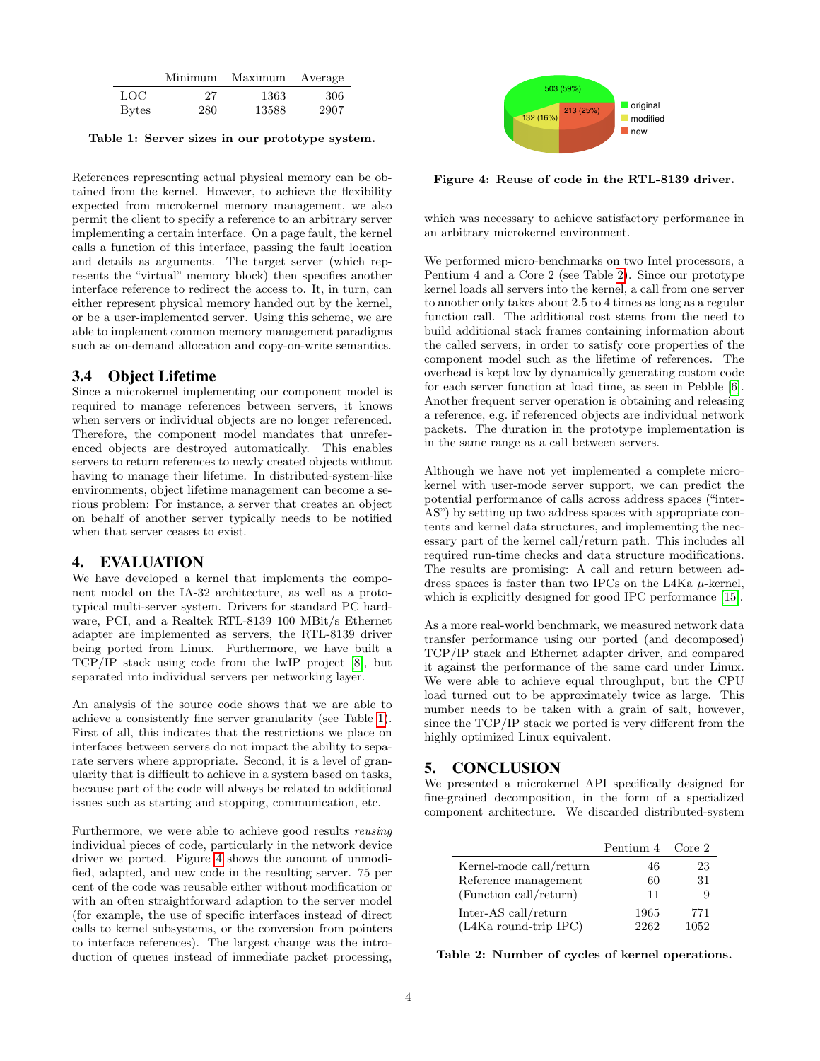|              | Minimum | Maximum Average |      |
|--------------|---------|-----------------|------|
| LOC          | 27      | 1363            | -306 |
| <b>Bytes</b> | 280     | 13588           | 2907 |

<span id="page-3-1"></span>Table 1: Server sizes in our prototype system.

References representing actual physical memory can be obtained from the kernel. However, to achieve the flexibility expected from microkernel memory management, we also permit the client to specify a reference to an arbitrary server implementing a certain interface. On a page fault, the kernel calls a function of this interface, passing the fault location and details as arguments. The target server (which represents the "virtual" memory block) then specifies another interface reference to redirect the access to. It, in turn, can either represent physical memory handed out by the kernel, or be a user-implemented server. Using this scheme, we are able to implement common memory management paradigms such as on-demand allocation and copy-on-write semantics.

## 3.4 Object Lifetime

Since a microkernel implementing our component model is required to manage references between servers, it knows when servers or individual objects are no longer referenced. Therefore, the component model mandates that unreferenced objects are destroyed automatically. This enables servers to return references to newly created objects without having to manage their lifetime. In distributed-system-like environments, object lifetime management can become a serious problem: For instance, a server that creates an object on behalf of another server typically needs to be notified when that server ceases to exist.

### <span id="page-3-0"></span>4. EVALUATION

We have developed a kernel that implements the component model on the IA-32 architecture, as well as a prototypical multi-server system. Drivers for standard PC hardware, PCI, and a Realtek RTL-8139 100 MBit/s Ethernet adapter are implemented as servers, the RTL-8139 driver being ported from Linux. Furthermore, we have built a TCP/IP stack using code from the lwIP project [\[8\]](#page-4-2), but separated into individual servers per networking layer.

An analysis of the source code shows that we are able to achieve a consistently fine server granularity (see Table [1\)](#page-3-1). First of all, this indicates that the restrictions we place on interfaces between servers do not impact the ability to separate servers where appropriate. Second, it is a level of granularity that is difficult to achieve in a system based on tasks, because part of the code will always be related to additional issues such as starting and stopping, communication, etc.

Furthermore, we were able to achieve good results reusing individual pieces of code, particularly in the network device driver we ported. Figure [4](#page-3-2) shows the amount of unmodified, adapted, and new code in the resulting server. 75 per cent of the code was reusable either without modification or with an often straightforward adaption to the server model (for example, the use of specific interfaces instead of direct calls to kernel subsystems, or the conversion from pointers to interface references). The largest change was the introduction of queues instead of immediate packet processing,



<span id="page-3-2"></span>Figure 4: Reuse of code in the RTL-8139 driver.

which was necessary to achieve satisfactory performance in an arbitrary microkernel environment.

We performed micro-benchmarks on two Intel processors, a Pentium 4 and a Core 2 (see Table [2\)](#page-3-3). Since our prototype kernel loads all servers into the kernel, a call from one server to another only takes about 2.5 to 4 times as long as a regular function call. The additional cost stems from the need to build additional stack frames containing information about the called servers, in order to satisfy core properties of the component model such as the lifetime of references. The overhead is kept low by dynamically generating custom code for each server function at load time, as seen in Pebble [\[6\]](#page-4-12). Another frequent server operation is obtaining and releasing a reference, e.g. if referenced objects are individual network packets. The duration in the prototype implementation is in the same range as a call between servers.

Although we have not yet implemented a complete microkernel with user-mode server support, we can predict the potential performance of calls across address spaces ("inter-AS") by setting up two address spaces with appropriate contents and kernel data structures, and implementing the necessary part of the kernel call/return path. This includes all required run-time checks and data structure modifications. The results are promising: A call and return between address spaces is faster than two IPCs on the L4Ka  $\mu$ -kernel, which is explicitly designed for good IPC performance [\[15\]](#page-4-0).

As a more real-world benchmark, we measured network data transfer performance using our ported (and decomposed) TCP/IP stack and Ethernet adapter driver, and compared it against the performance of the same card under Linux. We were able to achieve equal throughput, but the CPU load turned out to be approximately twice as large. This number needs to be taken with a grain of salt, however, since the TCP/IP stack we ported is very different from the highly optimized Linux equivalent.

## 5. CONCLUSION

We presented a microkernel API specifically designed for fine-grained decomposition, in the form of a specialized component architecture. We discarded distributed-system

|                         | Pentium 4 Core 2 |      |
|-------------------------|------------------|------|
| Kernel-mode call/return | 46               | 23   |
| Reference management    | 60               | 31   |
| (Function call/return)  | 11               |      |
| Inter-AS call/return    | 1965             | 771  |
| (L4Ka round-trip IPC)   | 2262             | 1052 |

<span id="page-3-3"></span>Table 2: Number of cycles of kernel operations.